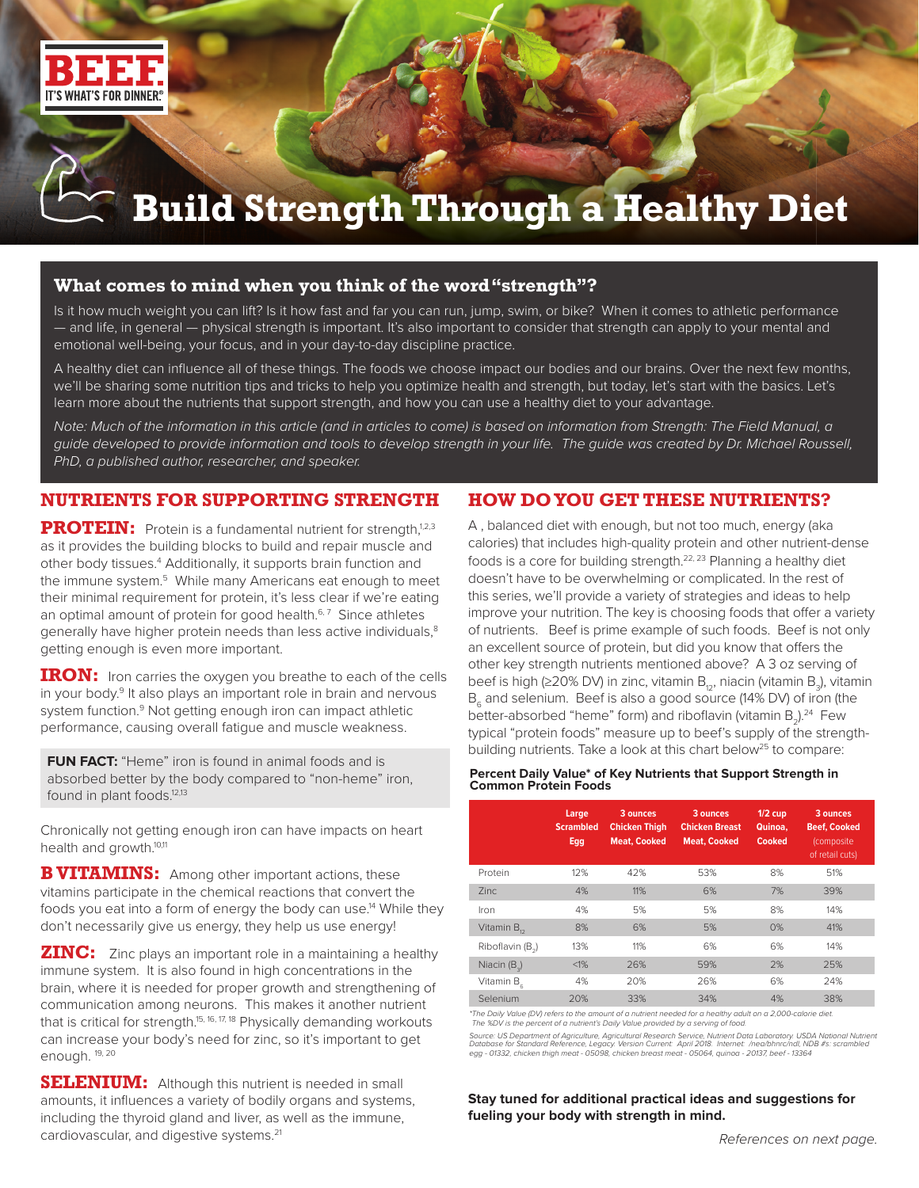

# **Build Strength Through a Healthy Diet**

### **What comes to mind when you think of the word "strength"?**

Is it how much weight you can lift? Is it how fast and far you can run, jump, swim, or bike? When it comes to athletic performance — and life, in general — physical strength is important. It's also important to consider that strength can apply to your mental and emotional well-being, your focus, and in your day-to-day discipline practice.

A healthy diet can influence all of these things. The foods we choose impact our bodies and our brains. Over the next few months, we'll be sharing some nutrition tips and tricks to help you optimize health and strength, but today, let's start with the basics. Let's learn more about the nutrients that support strength, and how you can use a healthy diet to your advantage.

*Note: Much of the information in this article (and in articles to come) is based on information from Strength: The Field Manual, a guide developed to provide information and tools to develop strength in your life. The guide was created by Dr. Michael Roussell, PhD, a published author, researcher, and speaker.*

## **NUTRIENTS FOR SUPPORTING STRENGTH**

**PROTEIN:** Protein is a fundamental nutrient for strength,<sup>1,2,3</sup> as it provides the building blocks to build and repair muscle and other body tissues.<sup>4</sup> Additionally, it supports brain function and the immune system.<sup>5</sup> While many Americans eat enough to meet their minimal requirement for protein, it's less clear if we're eating an optimal amount of protein for good health.<sup>6,7</sup> Since athletes generally have higher protein needs than less active individuals,<sup>8</sup> getting enough is even more important.

**IRON:** Iron carries the oxygen you breathe to each of the cells in your body.<sup>9</sup> It also plays an important role in brain and nervous system function.<sup>9</sup> Not getting enough iron can impact athletic performance, causing overall fatigue and muscle weakness.

**FUN FACT:** "Heme" iron is found in animal foods and is absorbed better by the body compared to "non-heme" iron, found in plant foods.<sup>12,13</sup>

Chronically not getting enough iron can have impacts on heart health and growth.<sup>10,11</sup>

**B VITAMINS:** Among other important actions, these vitamins participate in the chemical reactions that convert the foods you eat into a form of energy the body can use.<sup>14</sup> While they don't necessarily give us energy, they help us use energy!

**ZINC:** Zinc plays an important role in a maintaining a healthy immune system. It is also found in high concentrations in the brain, where it is needed for proper growth and strengthening of communication among neurons. This makes it another nutrient that is critical for strength.<sup>15, 16, 17, 18</sup> Physically demanding workouts can increase your body's need for zinc, so it's important to get enough. 19, 20

**SELENIUM:** Although this nutrient is needed in small amounts, it influences a variety of bodily organs and systems, including the thyroid gland and liver, as well as the immune, cardiovascular, and digestive systems.21

# **HOW DO YOU GET THESE NUTRIENTS?**

A , balanced diet with enough, but not too much, energy (aka calories) that includes high-quality protein and other nutrient-dense foods is a core for building strength.<sup>22, 23</sup> Planning a healthy diet doesn't have to be overwhelming or complicated. In the rest of this series, we'll provide a variety of strategies and ideas to help improve your nutrition. The key is choosing foods that offer a variety of nutrients. Beef is prime example of such foods. Beef is not only an excellent source of protein, but did you know that offers the other key strength nutrients mentioned above? A 3 oz serving of beef is high (≥20% DV) in zinc, vitamin B $_{\rm 12}$ , niacin (vitamin B $_{\rm 3}$ ), vitamin  $B<sub>c</sub>$  and selenium. Beef is also a good source (14% DV) of iron (the better-absorbed "heme" form) and riboflavin (vitamin  $B_2$ ).<sup>24</sup> Few typical "protein foods" measure up to beef's supply of the strengthbuilding nutrients. Take a look at this chart below<sup>25</sup> to compare:

#### **Percent Daily Value\* of Key Nutrients that Support Strength in Common Protein Foods**

|                         | Large<br><b>Scrambled</b><br>Egg | 3 ounces<br><b>Chicken Thigh</b><br><b>Meat. Cooked</b> | 3 ounces<br><b>Chicken Breast</b><br><b>Meat. Cooked</b> | $1/2$ cup<br>Quinoa.<br>Cooked | 3 ounces<br><b>Beef, Cooked</b><br>(composite<br>of retail cuts) |
|-------------------------|----------------------------------|---------------------------------------------------------|----------------------------------------------------------|--------------------------------|------------------------------------------------------------------|
| Protein                 | 12%                              | 42%                                                     | 53%                                                      | 8%                             | 51%                                                              |
| 7inc.                   | 4%                               | 11%                                                     | 6%                                                       | 7%                             | 39%                                                              |
| Iron                    | 4%                               | 5%                                                      | 5%                                                       | 8%                             | 14%                                                              |
| Vitamin B <sub>12</sub> | 8%                               | 6%                                                      | 5%                                                       | 0%                             | 41%                                                              |
| Riboflavin (B.)         | 13%                              | 11%                                                     | 6%                                                       | 6%                             | 14%                                                              |
| Niacin $(B_2)$          | $< 1\%$                          | 26%                                                     | 59%                                                      | 2%                             | 25%                                                              |
| Vitamin B <sub>c</sub>  | 4%                               | 20%                                                     | 26%                                                      | 6%                             | 24%                                                              |
| Selenium                | 20%                              | 33%                                                     | 34%                                                      | 4%                             | 38%                                                              |

*\*The Daily Value (DV) refers to the amount of a nutrient needed for a healthy adult on a 2,000-calorie diet. The %DV is the percent of a nutrient's Daily Value provided by a serving of food.* 

*Source: US Department of Agriculture, Agricultural Research Service, Nutrient Data Laboratory. USDA National Nutrient*  Database for Standard Reference, Legacy. Version Current: April 2018. Internet: /nea/bhnrc/ndl, NDB #s: scrambled<br>egg - 01332, chicken thigh meat - 05098, chicken breast meat - 05064, quinoa - 20137, beef - 13364

**Stay tuned for additional practical ideas and suggestions for fueling your body with strength in mind.**